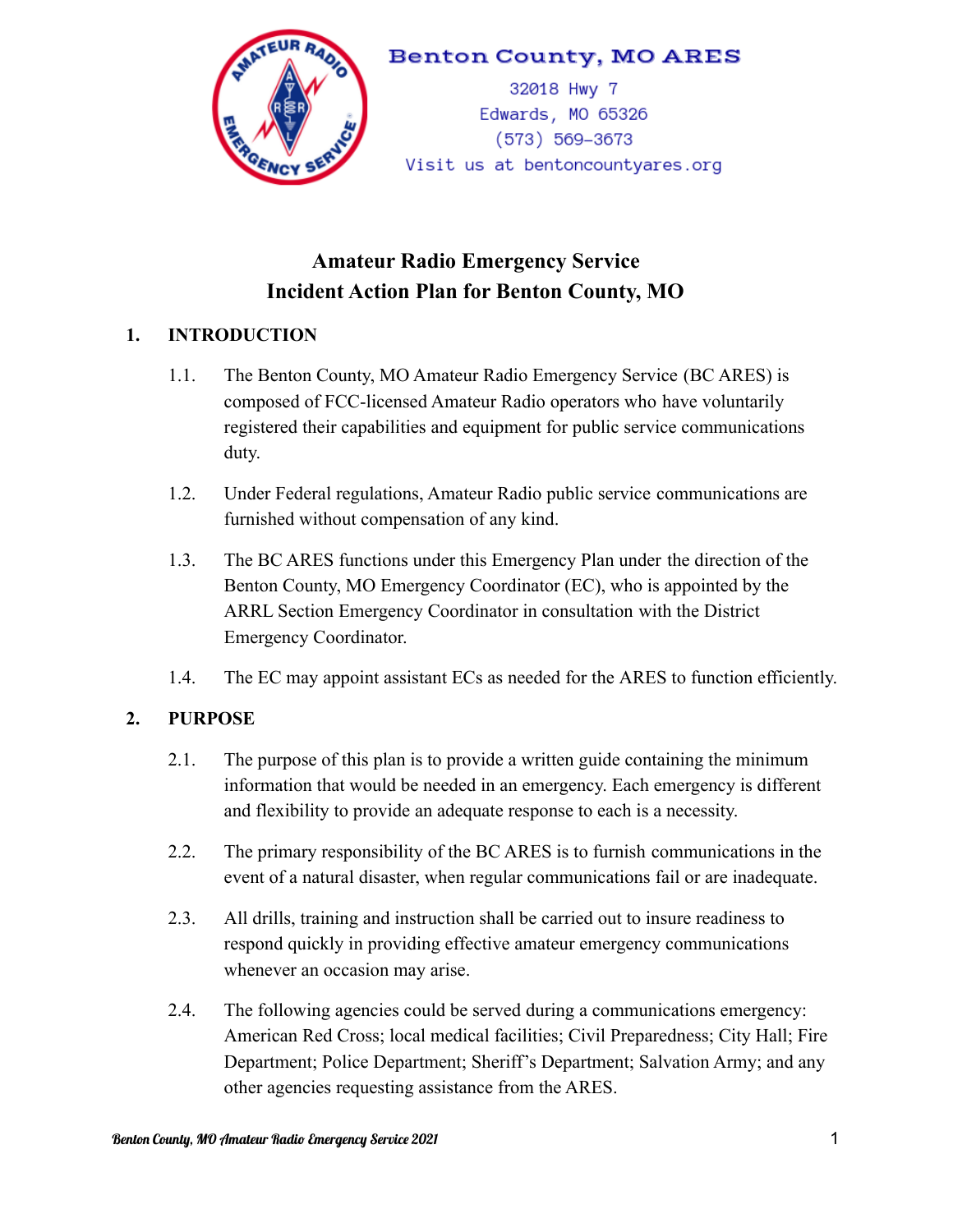

# **Benton County, MO ARES**

32018 Hwy 7 Edwards, MO 65326  $(573) 569 - 3673$ Visit us at bentoncountyares.org

# **Amateur Radio Emergency Service Incident Action Plan for Benton County, MO**

# **1. INTRODUCTION**

- 1.1. The Benton County, MO Amateur Radio Emergency Service (BC ARES) is composed of FCC-licensed Amateur Radio operators who have voluntarily registered their capabilities and equipment for public service communications duty.
- 1.2. Under Federal regulations, Amateur Radio public service communications are furnished without compensation of any kind.
- 1.3. The BC ARES functions under this Emergency Plan under the direction of the Benton County, MO Emergency Coordinator (EC), who is appointed by the ARRL Section Emergency Coordinator in consultation with the District Emergency Coordinator.
- 1.4. The EC may appoint assistant ECs as needed for the ARES to function efficiently.

# **2. PURPOSE**

- 2.1. The purpose of this plan is to provide a written guide containing the minimum information that would be needed in an emergency. Each emergency is different and flexibility to provide an adequate response to each is a necessity.
- 2.2. The primary responsibility of the BC ARES is to furnish communications in the event of a natural disaster, when regular communications fail or are inadequate.
- 2.3. All drills, training and instruction shall be carried out to insure readiness to respond quickly in providing effective amateur emergency communications whenever an occasion may arise.
- 2.4. The following agencies could be served during a communications emergency: American Red Cross; local medical facilities; Civil Preparedness; City Hall; Fire Department; Police Department; Sheriff's Department; Salvation Army; and any other agencies requesting assistance from the ARES.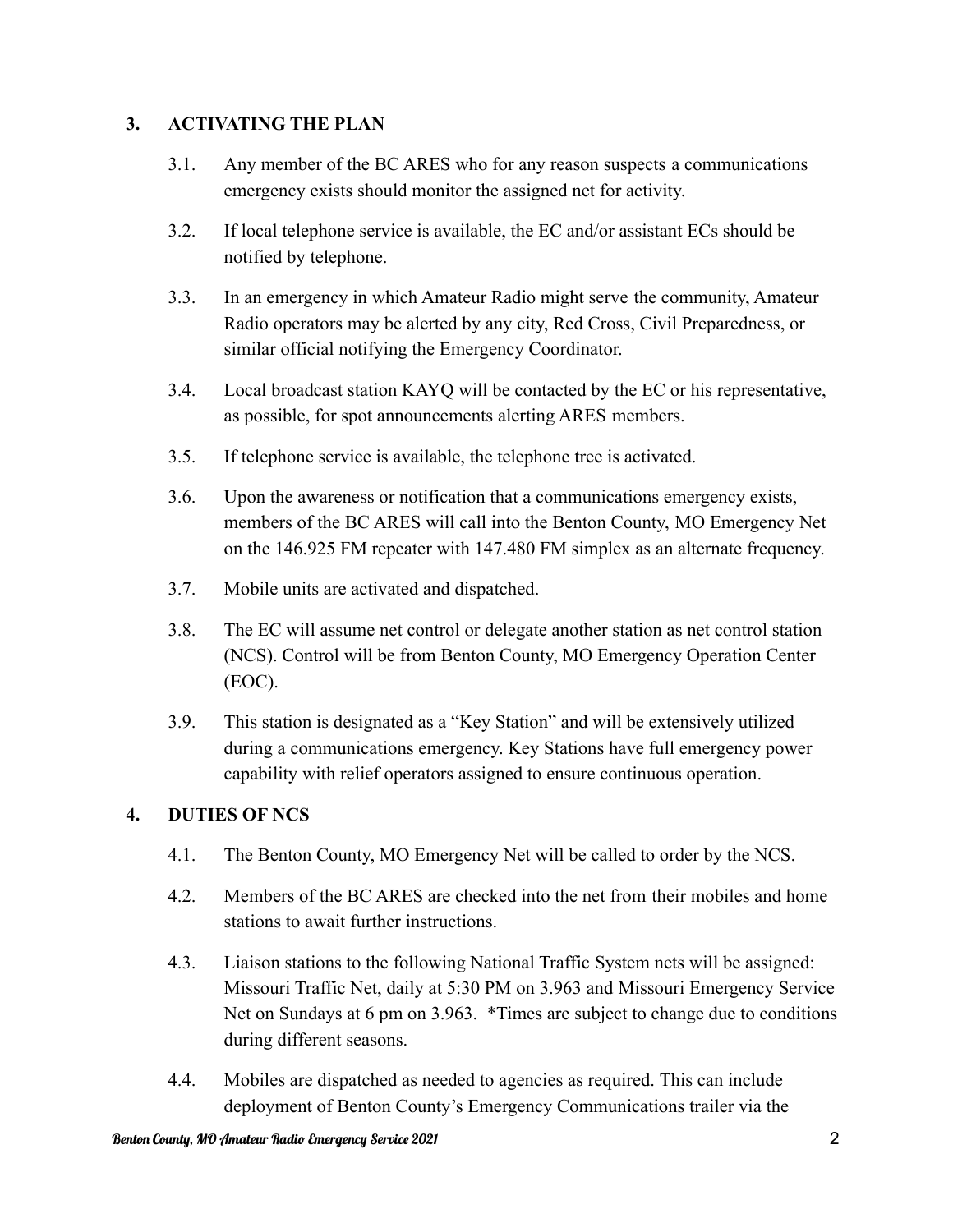#### **3. ACTIVATING THE PLAN**

- 3.1. Any member of the BC ARES who for any reason suspects a communications emergency exists should monitor the assigned net for activity.
- 3.2. If local telephone service is available, the EC and/or assistant ECs should be notified by telephone.
- 3.3. In an emergency in which Amateur Radio might serve the community, Amateur Radio operators may be alerted by any city, Red Cross, Civil Preparedness, or similar official notifying the Emergency Coordinator.
- 3.4. Local broadcast station KAYQ will be contacted by the EC or his representative, as possible, for spot announcements alerting ARES members.
- 3.5. If telephone service is available, the telephone tree is activated.
- 3.6. Upon the awareness or notification that a communications emergency exists, members of the BC ARES will call into the Benton County, MO Emergency Net on the 146.925 FM repeater with 147.480 FM simplex as an alternate frequency.
- 3.7. Mobile units are activated and dispatched.
- 3.8. The EC will assume net control or delegate another station as net control station (NCS). Control will be from Benton County, MO Emergency Operation Center (EOC).
- 3.9. This station is designated as a "Key Station" and will be extensively utilized during a communications emergency. Key Stations have full emergency power capability with relief operators assigned to ensure continuous operation.

## **4. DUTIES OF NCS**

- 4.1. The Benton County, MO Emergency Net will be called to order by the NCS.
- 4.2. Members of the BC ARES are checked into the net from their mobiles and home stations to await further instructions.
- 4.3. Liaison stations to the following National Traffic System nets will be assigned: Missouri Traffic Net, daily at 5:30 PM on 3.963 and Missouri Emergency Service Net on Sundays at 6 pm on 3.963. \*Times are subject to change due to conditions during different seasons.
- 4.4. Mobiles are dispatched as needed to agencies as required. This can include deployment of Benton County's Emergency Communications trailer via the